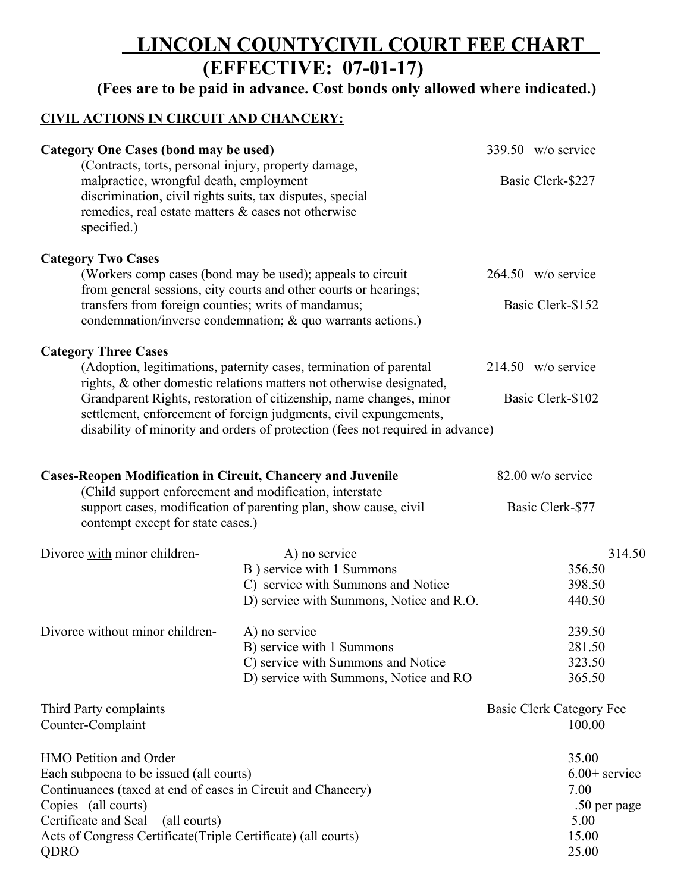## **LINCOLN COUNTYCIVIL COURT FEE CHART (EFFECTIVE: 07-01-17)**

**(Fees are to be paid in advance. Cost bonds only allowed where indicated.)**

## **CIVIL ACTIONS IN CIRCUIT AND CHANCERY:**

| <b>Category One Cases (bond may be used)</b><br>(Contracts, torts, personal injury, property damage,<br>malpractice, wrongful death, employment<br>discrimination, civil rights suits, tax disputes, special<br>remedies, real estate matters & cases not otherwise<br>specified.)                                                                                       |                                                                  |                   | 339.50 w/o service       |  |
|--------------------------------------------------------------------------------------------------------------------------------------------------------------------------------------------------------------------------------------------------------------------------------------------------------------------------------------------------------------------------|------------------------------------------------------------------|-------------------|--------------------------|--|
|                                                                                                                                                                                                                                                                                                                                                                          |                                                                  |                   | Basic Clerk-\$227        |  |
| <b>Category Two Cases</b>                                                                                                                                                                                                                                                                                                                                                |                                                                  |                   |                          |  |
| (Workers comp cases (bond may be used); appeals to circuit                                                                                                                                                                                                                                                                                                               |                                                                  |                   | $264.50$ w/o service     |  |
| from general sessions, city courts and other courts or hearings;<br>transfers from foreign counties; writs of mandamus;<br>condemnation/inverse condemnation; & quo warrants actions.)                                                                                                                                                                                   |                                                                  | Basic Clerk-\$152 |                          |  |
| <b>Category Three Cases</b>                                                                                                                                                                                                                                                                                                                                              |                                                                  |                   |                          |  |
| (Adoption, legitimations, paternity cases, termination of parental<br>rights, & other domestic relations matters not otherwise designated,<br>Grandparent Rights, restoration of citizenship, name changes, minor<br>settlement, enforcement of foreign judgments, civil expungements,<br>disability of minority and orders of protection (fees not required in advance) |                                                                  |                   | $214.50 \,$ w/o service  |  |
|                                                                                                                                                                                                                                                                                                                                                                          |                                                                  |                   | Basic Clerk-\$102        |  |
|                                                                                                                                                                                                                                                                                                                                                                          |                                                                  |                   |                          |  |
| <b>Cases-Reopen Modification in Circuit, Chancery and Juvenile</b><br>(Child support enforcement and modification, interstate                                                                                                                                                                                                                                            |                                                                  | 82.00 w/o service |                          |  |
| contempt except for state cases.)                                                                                                                                                                                                                                                                                                                                        | support cases, modification of parenting plan, show cause, civil |                   | Basic Clerk-\$77         |  |
| Divorce with minor children-                                                                                                                                                                                                                                                                                                                                             | A) no service                                                    |                   | 314.50                   |  |
|                                                                                                                                                                                                                                                                                                                                                                          | B) service with 1 Summons                                        |                   | 356.50                   |  |
|                                                                                                                                                                                                                                                                                                                                                                          | C) service with Summons and Notice                               |                   | 398.50                   |  |
|                                                                                                                                                                                                                                                                                                                                                                          | D) service with Summons, Notice and R.O.                         |                   | 440.50                   |  |
| Divorce without minor children-                                                                                                                                                                                                                                                                                                                                          | A) no service                                                    |                   | 239.50                   |  |
|                                                                                                                                                                                                                                                                                                                                                                          | B) service with 1 Summons                                        |                   | 281.50                   |  |
|                                                                                                                                                                                                                                                                                                                                                                          | C) service with Summons and Notice                               |                   | 323.50                   |  |
|                                                                                                                                                                                                                                                                                                                                                                          | D) service with Summons, Notice and RO                           |                   | 365.50                   |  |
| Third Party complaints                                                                                                                                                                                                                                                                                                                                                   |                                                                  |                   | Basic Clerk Category Fee |  |
| Counter-Complaint                                                                                                                                                                                                                                                                                                                                                        |                                                                  |                   | 100.00                   |  |
| HMO Petition and Order                                                                                                                                                                                                                                                                                                                                                   |                                                                  |                   | 35.00                    |  |
| Each subpoena to be issued (all courts)                                                                                                                                                                                                                                                                                                                                  |                                                                  |                   | $6.00+$ service          |  |
| Continuances (taxed at end of cases in Circuit and Chancery)                                                                                                                                                                                                                                                                                                             |                                                                  | 7.00              |                          |  |
| Copies (all courts)                                                                                                                                                                                                                                                                                                                                                      | .50 per page                                                     |                   |                          |  |
| Certificate and Seal<br>(all courts)                                                                                                                                                                                                                                                                                                                                     |                                                                  |                   | 5.00                     |  |
| Acts of Congress Certificate (Triple Certificate) (all courts)                                                                                                                                                                                                                                                                                                           |                                                                  |                   | 15.00                    |  |
| QDRO                                                                                                                                                                                                                                                                                                                                                                     |                                                                  |                   | 25.00                    |  |